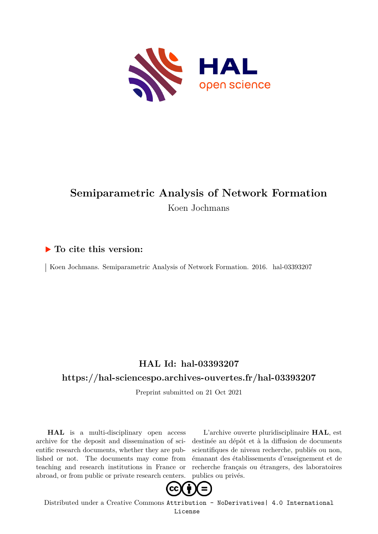

## **Semiparametric Analysis of Network Formation** Koen Jochmans

#### **To cite this version:**

Koen Jochmans. Semiparametric Analysis of Network Formation. 2016. hal-03393207

#### **HAL Id: hal-03393207**

#### **<https://hal-sciencespo.archives-ouvertes.fr/hal-03393207>**

Preprint submitted on 21 Oct 2021

**HAL** is a multi-disciplinary open access archive for the deposit and dissemination of scientific research documents, whether they are published or not. The documents may come from teaching and research institutions in France or abroad, or from public or private research centers.

L'archive ouverte pluridisciplinaire **HAL**, est destinée au dépôt et à la diffusion de documents scientifiques de niveau recherche, publiés ou non, émanant des établissements d'enseignement et de recherche français ou étrangers, des laboratoires publics ou privés.



Distributed under a Creative Commons [Attribution - NoDerivatives| 4.0 International](http://creativecommons.org/licenses/by-nd/4.0/) [License](http://creativecommons.org/licenses/by-nd/4.0/)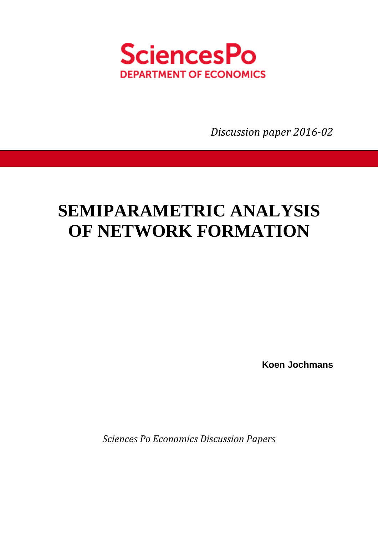

*Discussion paper 2016-02* 

# **SEMIPARAMETRIC ANALYSIS OF NETWORK FORMATION**

**Koen Jochmans** 

*Sciences Po Economics Discussion Papers*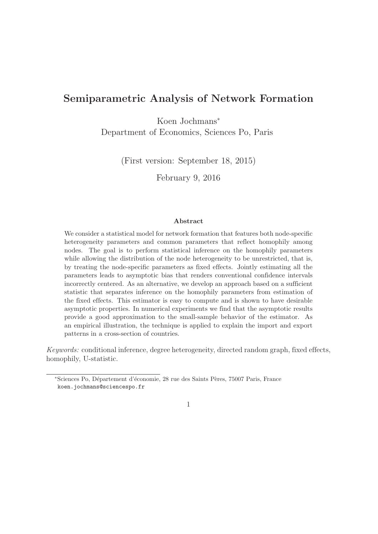### Semiparametric Analysis of Network Formation

Koen Jochmans<sup>∗</sup> Department of Economics, Sciences Po, Paris

(First version: September 18, 2015)

February 9, 2016

#### Abstract

We consider a statistical model for network formation that features both node-specific heterogeneity parameters and common parameters that reflect homophily among nodes. The goal is to perform statistical inference on the homophily parameters while allowing the distribution of the node heterogeneity to be unrestricted, that is, by treating the node-specific parameters as fixed effects. Jointly estimating all the parameters leads to asymptotic bias that renders conventional confidence intervals incorrectly centered. As an alternative, we develop an approach based on a sufficient statistic that separates inference on the homophily parameters from estimation of the fixed effects. This estimator is easy to compute and is shown to have desirable asymptotic properties. In numerical experiments we find that the asymptotic results provide a good approximation to the small-sample behavior of the estimator. As an empirical illustration, the technique is applied to explain the import and export patterns in a cross-section of countries.

Keywords: conditional inference, degree heterogeneity, directed random graph, fixed effects, homophily, U-statistic.

<sup>∗</sup>Sciences Po, D´epartement d'´economie, 28 rue des Saints P`eres, 75007 Paris, France koen.jochmans@sciencespo.fr

<sup>1</sup>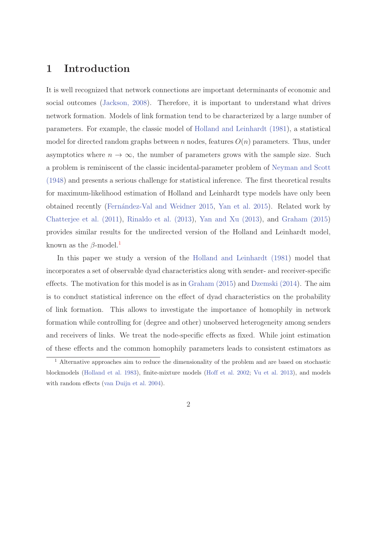#### 1 Introduction

It is well recognized that network connections are important determinants of economic and social outcomes (Jackson, 2008). Therefore, it is important to understand what drives network formation. Models of link formation tend to be characterized by a large number of parameters. For example, the classic model of Holland and Leinhardt (1981), a statistical model for directed random graphs between n nodes, features  $O(n)$  parameters. Thus, under asymptotics where  $n \to \infty$ , the number of parameters grows with the sample size. Such a problem is reminiscent of the classic incidental-parameter problem of Neyman and Scott (1948) and presents a serious challenge for statistical inference. The first theoretical results for maximum-likelihood estimation of Holland and Leinhardt type models have only been obtained recently (Fern´andez-Val and Weidner 2015, Yan et al. 2015). Related work by Chatterjee et al. (2011), Rinaldo et al. (2013), Yan and Xu (2013), and Graham (2015) provides similar results for the undirected version of the Holland and Leinhardt model, known as the  $\beta$ -model.<sup>1</sup>

In this paper we study a version of the Holland and Leinhardt (1981) model that incorporates a set of observable dyad characteristics along with sender- and receiver-specific effects. The motivation for this model is as in Graham (2015) and Dzemski (2014). The aim is to conduct statistical inference on the effect of dyad characteristics on the probability of link formation. This allows to investigate the importance of homophily in network formation while controlling for (degree and other) unobserved heterogeneity among senders and receivers of links. We treat the node-specific effects as fixed. While joint estimation of these effects and the common homophily parameters leads to consistent estimators as

<sup>&</sup>lt;sup>1</sup> Alternative approaches aim to reduce the dimensionality of the problem and are based on stochastic blockmodels (Holland et al. 1983), finite-mixture models (Hoff et al. 2002; Vu et al. 2013), and models with random effects (van Duijn et al. 2004).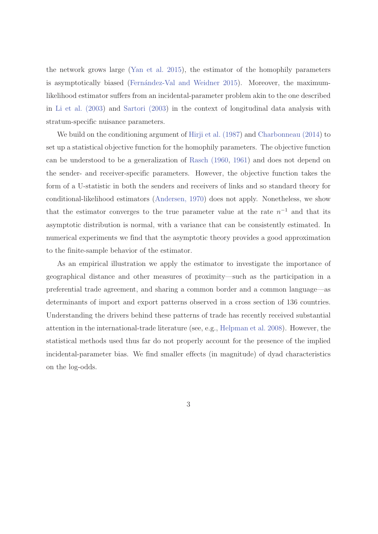the network grows large (Yan et al. 2015), the estimator of the homophily parameters is asymptotically biased (Fernández-Val and Weidner 2015). Moreover, the maximumlikelihood estimator suffers from an incidental-parameter problem akin to the one described in Li et al. (2003) and Sartori (2003) in the context of longitudinal data analysis with stratum-specific nuisance parameters.

We build on the conditioning argument of Hirji et al. (1987) and Charbonneau (2014) to set up a statistical objective function for the homophily parameters. The objective function can be understood to be a generalization of Rasch (1960, 1961) and does not depend on the sender- and receiver-specific parameters. However, the objective function takes the form of a U-statistic in both the senders and receivers of links and so standard theory for conditional-likelihood estimators (Andersen, 1970) does not apply. Nonetheless, we show that the estimator converges to the true parameter value at the rate  $n^{-1}$  and that its asymptotic distribution is normal, with a variance that can be consistently estimated. In numerical experiments we find that the asymptotic theory provides a good approximation to the finite-sample behavior of the estimator.

As an empirical illustration we apply the estimator to investigate the importance of geographical distance and other measures of proximity—such as the participation in a preferential trade agreement, and sharing a common border and a common language—as determinants of import and export patterns observed in a cross section of 136 countries. Understanding the drivers behind these patterns of trade has recently received substantial attention in the international-trade literature (see, e.g., Helpman et al. 2008). However, the statistical methods used thus far do not properly account for the presence of the implied incidental-parameter bias. We find smaller effects (in magnitude) of dyad characteristics on the log-odds.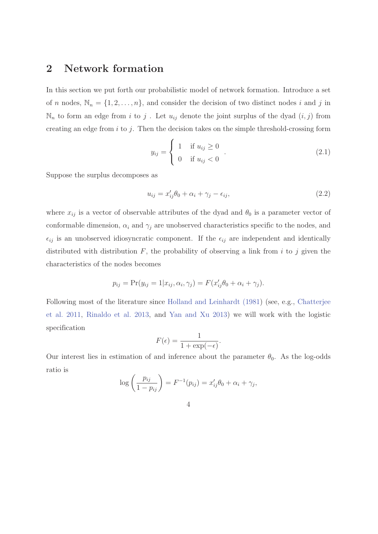#### 2 Network formation

In this section we put forth our probabilistic model of network formation. Introduce a set of n nodes,  $\mathbb{N}_n = \{1, 2, ..., n\}$ , and consider the decision of two distinct nodes i and j in  $\mathbb{N}_n$  to form an edge from i to j. Let  $u_{ij}$  denote the joint surplus of the dyad  $(i, j)$  from creating an edge from  $i$  to  $j$ . Then the decision takes on the simple threshold-crossing form

$$
y_{ij} = \begin{cases} 1 & \text{if } u_{ij} \ge 0 \\ 0 & \text{if } u_{ij} < 0 \end{cases} .
$$
 (2.1)

Suppose the surplus decomposes as

$$
u_{ij} = x'_{ij}\theta_0 + \alpha_i + \gamma_j - \epsilon_{ij},\tag{2.2}
$$

where  $x_{ij}$  is a vector of observable attributes of the dyad and  $\theta_0$  is a parameter vector of conformable dimension,  $\alpha_i$  and  $\gamma_j$  are unobserved characteristics specific to the nodes, and  $\epsilon_{ij}$  is an unobserved idiosyncratic component. If the  $\epsilon_{ij}$  are independent and identically distributed with distribution  $F$ , the probability of observing a link from i to j given the characteristics of the nodes becomes

$$
p_{ij} = \Pr(y_{ij} = 1 | x_{ij}, \alpha_i, \gamma_j) = F(x'_{ij}\theta_0 + \alpha_i + \gamma_j).
$$

Following most of the literature since Holland and Leinhardt (1981) (see, e.g., Chatterjee et al. 2011, Rinaldo et al. 2013, and Yan and Xu 2013) we will work with the logistic specification

$$
F(\epsilon) = \frac{1}{1 + \exp(-\epsilon)}.
$$

Our interest lies in estimation of and inference about the parameter  $\theta_0$ . As the log-odds ratio is

$$
\log\left(\frac{p_{ij}}{1-p_{ij}}\right) = F^{-1}(p_{ij}) = x'_{ij}\theta_0 + \alpha_i + \gamma_j,
$$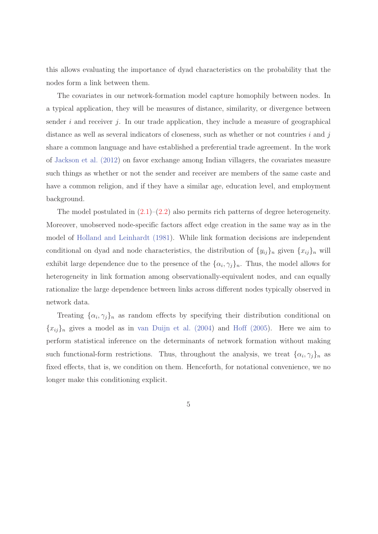this allows evaluating the importance of dyad characteristics on the probability that the nodes form a link between them.

The covariates in our network-formation model capture homophily between nodes. In a typical application, they will be measures of distance, similarity, or divergence between sender  $i$  and receiver  $j$ . In our trade application, they include a measure of geographical distance as well as several indicators of closeness, such as whether or not countries  $i$  and  $j$ share a common language and have established a preferential trade agreement. In the work of Jackson et al. (2012) on favor exchange among Indian villagers, the covariates measure such things as whether or not the sender and receiver are members of the same caste and have a common religion, and if they have a similar age, education level, and employment background.

The model postulated in  $(2.1)$ – $(2.2)$  also permits rich patterns of degree heterogeneity. Moreover, unobserved node-specific factors affect edge creation in the same way as in the model of Holland and Leinhardt (1981). While link formation decisions are independent conditional on dyad and node characteristics, the distribution of  $\{y_{ij}\}_n$  given  $\{x_{ij}\}_n$  will exhibit large dependence due to the presence of the  $\{\alpha_i, \gamma_j\}_n$ . Thus, the model allows for heterogeneity in link formation among observationally-equivalent nodes, and can equally rationalize the large dependence between links across different nodes typically observed in network data.

Treating  $\{\alpha_i, \gamma_j\}_n$  as random effects by specifying their distribution conditional on  ${x_{ij}}_n$  gives a model as in van Duijn et al. (2004) and Hoff (2005). Here we aim to perform statistical inference on the determinants of network formation without making such functional-form restrictions. Thus, throughout the analysis, we treat  $\{\alpha_i, \gamma_j\}_n$  as fixed effects, that is, we condition on them. Henceforth, for notational convenience, we no longer make this conditioning explicit.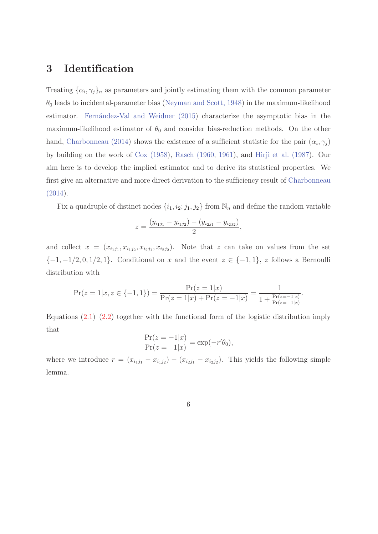#### 3 Identification

Treating  $\{\alpha_i, \gamma_j\}_n$  as parameters and jointly estimating them with the common parameter  $\theta_0$  leads to incidental-parameter bias (Neyman and Scott, 1948) in the maximum-likelihood estimator. Fernández-Val and Weidner (2015) characterize the asymptotic bias in the maximum-likelihood estimator of  $\theta_0$  and consider bias-reduction methods. On the other hand, Charbonneau (2014) shows the existence of a sufficient statistic for the pair  $(\alpha_i, \gamma_j)$ by building on the work of Cox (1958), Rasch (1960, 1961), and Hirji et al. (1987). Our aim here is to develop the implied estimator and to derive its statistical properties. We first give an alternative and more direct derivation to the sufficiency result of Charbonneau (2014).

Fix a quadruple of distinct nodes  $\{i_1, i_2; j_1, j_2\}$  from  $\mathbb{N}_n$  and define the random variable

$$
z = \frac{(y_{i_1j_1} - y_{i_1j_2}) - (y_{i_2j_1} - y_{i_2j_2})}{2},
$$

and collect  $x = (x_{i_1j_1}, x_{i_1j_2}, x_{i_2j_1}, x_{i_2j_2})$ . Note that z can take on values from the set  ${-1, -1/2, 0, 1/2, 1}.$  Conditional on x and the event  $z \in \{-1, 1\}, z$  follows a Bernoulli distribution with

$$
\Pr(z=1|x,z\in\{-1,1\}) = \frac{\Pr(z=1|x)}{\Pr(z=1|x)+\Pr(z=-1|x)} = \frac{1}{1+\frac{\Pr(z=-1|x)}{\Pr(z=1|x)}}.
$$

Equations  $(2.1)$ – $(2.2)$  together with the functional form of the logistic distribution imply that

$$
\frac{\Pr(z = -1|x)}{\Pr(z = 1|x)} = \exp(-r'\theta_0),
$$

where we introduce  $r = (x_{i_1j_1} - x_{i_1j_2}) - (x_{i_2j_1} - x_{i_2j_2})$ . This yields the following simple lemma.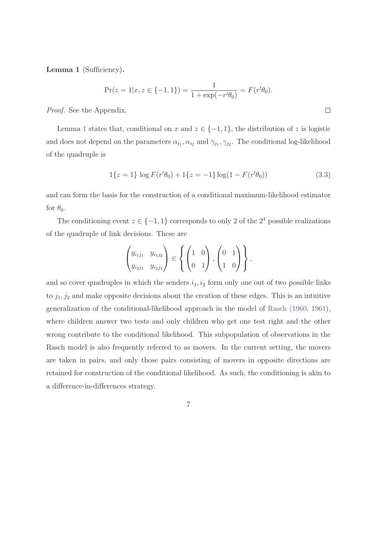Lemma 1 (Sufficiency).

$$
\Pr(z = 1 | x, z \in \{-1, 1\}) = \frac{1}{1 + \exp(-r'\theta_0)} = F(r'\theta_0).
$$

Proof. See the Appendix.

Lemma 1 states that, conditional on x and  $z \in \{-1, 1\}$ , the distribution of z is logistic and does not depend on the parameters  $\alpha_{i_1}, \alpha_{i_2}$  and  $\gamma_{j_1}, \gamma_{j_2}$ . The conditional log-likelihood of the quadruple is

$$
1\{z=1\}\log F(r'\theta_0) + 1\{z=-1\}\log(1-F(r'\theta_0))
$$
\n(3.3)

 $\Box$ 

and can form the basis for the construction of a conditional maximum-likelihood estimator for  $\theta_0$ .

The conditioning event  $z \in \{-1, 1\}$  corresponds to only 2 of the  $2^4$  possible realizations of the quadruple of link decisions. These are

$$
\begin{pmatrix} y_{i_1j_1} & y_{i_1j_2} \\ y_{i_2j_1} & y_{i_2j_2} \end{pmatrix} \in \left\{ \begin{pmatrix} 1 & 0 \\ 0 & 1 \end{pmatrix}, \begin{pmatrix} 0 & 1 \\ 1 & 0 \end{pmatrix} \right\},\
$$

and so cover quadruples in which the senders  $i_1, i_2$  form only one out of two possible links to  $j_1, j_2$  and make opposite decisions about the creation of these edges. This is an intuitive generalization of the conditional-likelihood approach in the model of Rasch (1960, 1961), where children answer two tests and only children who get one test right and the other wrong contribute to the conditional likelihood. This subpopulation of observations in the Rasch model is also frequently referred to as movers. In the current setting, the movers are taken in pairs, and only those pairs consisting of movers in opposite directions are retained for construction of the conditional likelihood. As such, the conditioning is akin to a difference-in-differences strategy.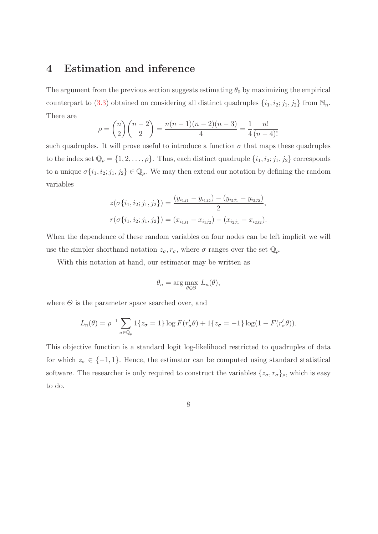#### 4 Estimation and inference

The argument from the previous section suggests estimating  $\theta_0$  by maximizing the empirical counterpart to (3.3) obtained on considering all distinct quadruples  $\{i_1, i_2; j_1, j_2\}$  from  $\mathbb{N}_n$ . There are

$$
\rho = \binom{n}{2} \binom{n-2}{2} = \frac{n(n-1)(n-2)(n-3)}{4} = \frac{1}{4} \frac{n!}{(n-4)!}
$$

such quadruples. It will prove useful to introduce a function  $\sigma$  that maps these quadruples to the index set  $\mathbb{Q}_\rho = \{1, 2, \ldots, \rho\}$ . Thus, each distinct quadruple  $\{i_1, i_2; j_1, j_2\}$  corresponds to a unique  $\sigma\{i_1, i_2; j_1, j_2\} \in \mathbb{Q}_\rho$ . We may then extend our notation by defining the random variables

$$
z(\sigma\{i_1, i_2; j_1, j_2\}) = \frac{(y_{i_1j_1} - y_{i_1j_2}) - (y_{i_2j_1} - y_{i_2j_2})}{2},
$$
  

$$
r(\sigma\{i_1, i_2; j_1, j_2\}) = (x_{i_1j_1} - x_{i_1j_2}) - (x_{i_2j_1} - x_{i_2j_2}).
$$

When the dependence of these random variables on four nodes can be left implicit we will use the simpler shorthand notation  $z_{\sigma}$ ,  $r_{\sigma}$ , where  $\sigma$  ranges over the set  $\mathbb{Q}_{\rho}$ .

With this notation at hand, our estimator may be written as

$$
\theta_n = \arg \max_{\theta \in \Theta} L_n(\theta),
$$

where  $\Theta$  is the parameter space searched over, and

$$
L_n(\theta) = \rho^{-1} \sum_{\sigma \in \mathbb{Q}_\rho} 1\{z_\sigma = 1\} \log F(r'_\sigma \theta) + 1\{z_\sigma = -1\} \log (1 - F(r'_\sigma \theta)).
$$

This objective function is a standard logit log-likelihood restricted to quadruples of data for which  $z_{\sigma} \in \{-1, 1\}$ . Hence, the estimator can be computed using standard statistical software. The researcher is only required to construct the variables  $\{z_{\sigma}, r_{\sigma}\}_{\rho}$ , which is easy to do.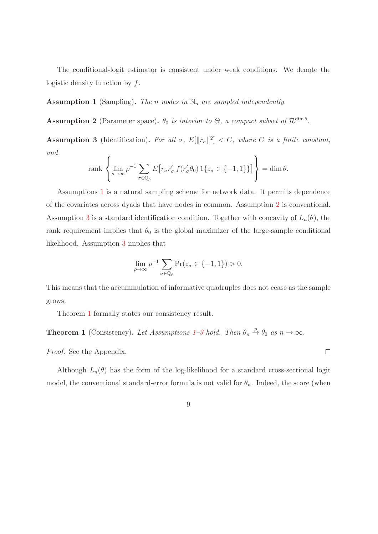The conditional-logit estimator is consistent under weak conditions. We denote the logistic density function by  $f$ .

**Assumption 1** (Sampling). The n nodes in  $\mathbb{N}_n$  are sampled independently.

**Assumption 2** (Parameter space).  $\theta_0$  is interior to  $\Theta$ , a compact subset of  $\mathcal{R}^{\dim \theta}$ .

**Assumption 3** (Identification). For all  $\sigma$ ,  $E[\Vert r_{\sigma} \Vert^{2}] < C$ , where C is a finite constant, and

$$
\operatorname{rank}\left\{\lim_{\rho\to\infty}\rho^{-1}\sum_{\sigma\in\mathbb{Q}_\rho}E\big[r_\sigma r'_\sigma f(r'_\sigma\theta_0)\,1\{z_\sigma\in\{-1,1\}\}\big]\right\}=\dim\theta.
$$

Assumptions 1 is a natural sampling scheme for network data. It permits dependence of the covariates across dyads that have nodes in common. Assumption 2 is conventional. Assumption 3 is a standard identification condition. Together with concavity of  $L_n(\theta)$ , the rank requirement implies that  $\theta_0$  is the global maximizer of the large-sample conditional likelihood. Assumption 3 implies that

$$
\lim_{\rho \to \infty} \rho^{-1} \sum_{\sigma \in \mathbb{Q}_\rho} \Pr(z_\sigma \in \{-1, 1\}) > 0.
$$

This means that the accummulation of informative quadruples does not cease as the sample grows.

Theorem 1 formally states our consistency result.

**Theorem 1** (Consistency). Let Assumptions 1–3 hold. Then  $\theta_n \stackrel{p}{\rightarrow} \theta_0$  as  $n \rightarrow \infty$ .

Proof. See the Appendix.

Although  $L_n(\theta)$  has the form of the log-likelihood for a standard cross-sectional logit model, the conventional standard-error formula is not valid for  $\theta_n$ . Indeed, the score (when

 $\Box$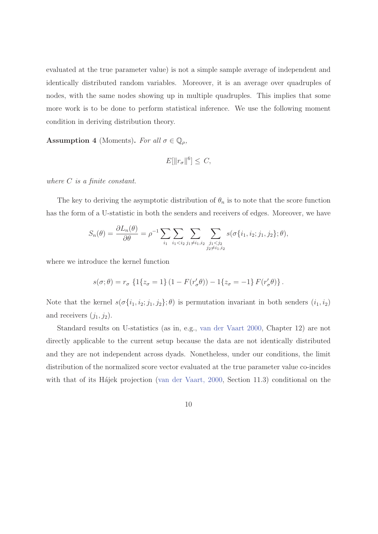evaluated at the true parameter value) is not a simple sample average of independent and identically distributed random variables. Moreover, it is an average over quadruples of nodes, with the same nodes showing up in multiple quadruples. This implies that some more work is to be done to perform statistical inference. We use the following moment condition in deriving distribution theory.

**Assumption 4** (Moments). For all  $\sigma \in \mathbb{Q}_{\rho}$ ,

$$
E[\|r_{\sigma}\|^6] \leq C,
$$

where  $C$  is a finite constant.

The key to deriving the asymptotic distribution of  $\theta_n$  is to note that the score function has the form of a U-statistic in both the senders and receivers of edges. Moreover, we have

$$
S_n(\theta) = \frac{\partial L_n(\theta)}{\partial \theta} = \rho^{-1} \sum_{i_1} \sum_{i_1 < i_2} \sum_{j_1 \neq i_1, i_2} \sum_{\substack{j_1 < j_2 \\ j_2 \neq i_1, i_2}} s(\sigma\{i_1, i_2; j_1, j_2\}; \theta),
$$

where we introduce the kernel function

$$
s(\sigma;\theta) = r_{\sigma} \left\{ 1\{z_{\sigma} = 1\} \left( 1 - F(r'_{\sigma}\theta) \right) - 1\{z_{\sigma} = -1\} F(r'_{\sigma}\theta) \right\}.
$$

Note that the kernel  $s(\sigma\{i_1, i_2; j_1, j_2\}; \theta)$  is permutation invariant in both senders  $(i_1, i_2)$ and receivers  $(j_1, j_2)$ .

Standard results on U-statistics (as in, e.g., van der Vaart 2000, Chapter 12) are not directly applicable to the current setup because the data are not identically distributed and they are not independent across dyads. Nonetheless, under our conditions, the limit distribution of the normalized score vector evaluated at the true parameter value co-incides with that of its Hájek projection (van der Vaart, 2000, Section 11.3) conditional on the

10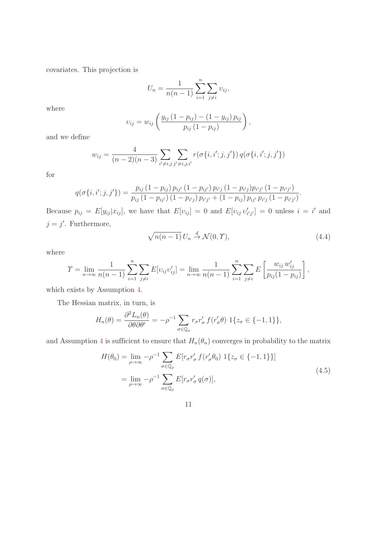covariates. This projection is

$$
U_n = \frac{1}{n(n-1)} \sum_{i=1}^n \sum_{j \neq i} v_{ij},
$$

where

$$
v_{ij} = w_{ij} \left( \frac{y_{ij} (1 - p_{ij}) - (1 - y_{ij}) p_{ij}}{p_{ij} (1 - p_{ij})} \right),
$$

and we define

$$
w_{ij} = \frac{4}{(n-2)(n-3)} \sum_{i' \neq i, j} \sum_{j' \neq i, j, i'} r(\sigma\{i, i'; j, j')\} q(\sigma\{i, i'; j, j')\}
$$

for

$$
q(\sigma\{i,i';j,j'\}) = \frac{p_{ij}(1-p_{ij})p_{ij'}(1-p_{ij'})p_{i'j'}(1-p_{i'j})p_{i'j'}(1-p_{i'j'})}{p_{ij}(1-p_{ij'})(1-p_{i'j})p_{i'j'} + (1-p_{ij})p_{ij'}p_{i'j'}(1-p_{i'j'})}.
$$

Because  $p_{ij} = E[y_{ij} | x_{ij}]$ , we have that  $E[v_{ij}] = 0$  and  $E[v_{ij} v'_{i'j'}] = 0$  unless  $i = i'$  and  $j = j'$ . Furthermore,

$$
\sqrt{n(n-1)} U_n \stackrel{d}{\to} \mathcal{N}(0, \mathcal{Y}), \tag{4.4}
$$

where

$$
\Upsilon = \lim_{n \to \infty} \frac{1}{n(n-1)} \sum_{i=1}^{n} \sum_{j \neq i} E[v_{ij}v'_{ij}] = \lim_{n \to \infty} \frac{1}{n(n-1)} \sum_{i=1}^{n} \sum_{j \neq i} E\left[\frac{w_{ij} w'_{ij}}{p_{ij}(1-p_{ij})}\right],
$$

which exists by Assumption 4.

The Hessian matrix, in turn, is

$$
H_n(\theta) = \frac{\partial^2 L_n(\theta)}{\partial \theta \partial \theta'} = -\rho^{-1} \sum_{\sigma \in \mathbb{Q}_\rho} r_\sigma r'_\sigma f(r'_\sigma \theta) \ 1\{z_\sigma \in \{-1, 1\}\},
$$

and Assumption 4 is sufficient to ensure that  $H_n(\theta_n)$  converges in probability to the matrix

$$
H(\theta_0) = \lim_{\rho \to \infty} -\rho^{-1} \sum_{\sigma \in \mathbb{Q}_\rho} E[r_\sigma r'_\sigma f(r'_\sigma \theta_0) \ 1\{z_\sigma \in \{-1, 1\}\}]
$$
  
= 
$$
\lim_{\rho \to \infty} -\rho^{-1} \sum_{\sigma \in \mathbb{Q}_\rho} E[r_\sigma r'_\sigma q(\sigma)],
$$
 (4.5)

11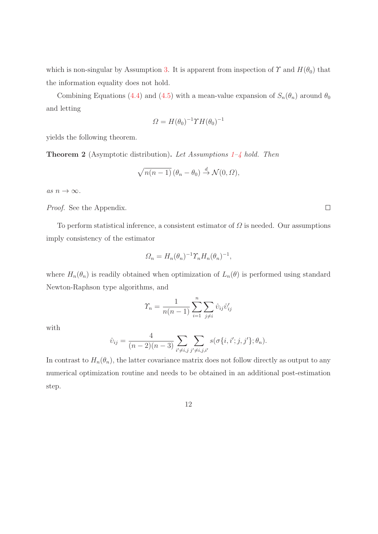which is non-singular by Assumption 3. It is apparent from inspection of  $\Upsilon$  and  $H(\theta_0)$  that the information equality does not hold.

Combining Equations (4.4) and (4.5) with a mean-value expansion of  $S_n(\theta_n)$  around  $\theta_0$ and letting

$$
\Omega = H(\theta_0)^{-1} \Upsilon H(\theta_0)^{-1}
$$

yields the following theorem.

**Theorem 2** (Asymptotic distribution). Let Assumptions  $1-\frac{1}{4}$  hold. Then

$$
\sqrt{n(n-1)} (\theta_n - \theta_0) \stackrel{d}{\rightarrow} \mathcal{N}(0, \Omega),
$$

as  $n \to \infty$ .

Proof. See the Appendix.

To perform statistical inference, a consistent estimator of  $\Omega$  is needed. Our assumptions imply consistency of the estimator

$$
\Omega_n = H_n(\theta_n)^{-1} \Upsilon_n H_n(\theta_n)^{-1},
$$

where  $H_n(\theta_n)$  is readily obtained when optimization of  $L_n(\theta)$  is performed using standard Newton-Raphson type algorithms, and

$$
\varUpsilon_n = \frac{1}{n(n-1)} \sum_{i=1}^n \sum_{j \neq i} \hat{\upsilon}_{ij} \hat{\upsilon}'_{ij}
$$

with

$$
\hat{v}_{ij} = \frac{4}{(n-2)(n-3)} \sum_{i' \neq i, j} \sum_{j' \neq i, j, i'} s(\sigma\{i, i'; j, j'\}; \theta_n).
$$

In contrast to  $H_n(\theta_n)$ , the latter covariance matrix does not follow directly as output to any numerical optimization routine and needs to be obtained in an additional post-estimation step.

12

 $\Box$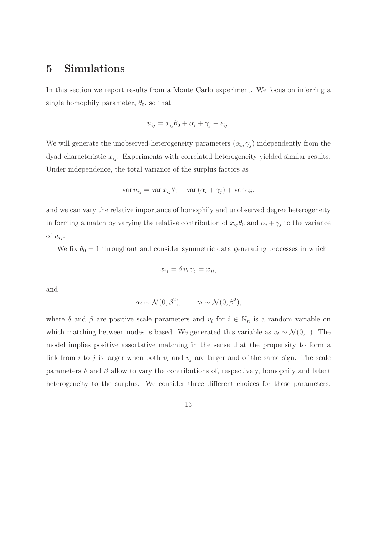#### 5 Simulations

In this section we report results from a Monte Carlo experiment. We focus on inferring a single homophily parameter,  $\theta_0$ , so that

$$
u_{ij} = x_{ij}\theta_0 + \alpha_i + \gamma_j - \epsilon_{ij}.
$$

We will generate the unobserved-heterogeneity parameters  $(\alpha_i, \gamma_j)$  independently from the dyad characteristic  $x_{ij}$ . Experiments with correlated heterogeneity yielded similar results. Under independence, the total variance of the surplus factors as

$$
\operatorname{var} u_{ij} = \operatorname{var} x_{ij} \theta_0 + \operatorname{var} (\alpha_i + \gamma_j) + \operatorname{var} \epsilon_{ij},
$$

and we can vary the relative importance of homophily and unobserved degree heterogeneity in forming a match by varying the relative contribution of  $x_{ij}\theta_0$  and  $\alpha_i + \gamma_j$  to the variance of  $u_{ij}$ .

We fix  $\theta_0 = 1$  throughout and consider symmetric data generating processes in which

$$
x_{ij} = \delta v_i v_j = x_{ji},
$$

and

$$
\alpha_i \sim \mathcal{N}(0, \beta^2), \qquad \gamma_i \sim \mathcal{N}(0, \beta^2),
$$

where  $\delta$  and  $\beta$  are positive scale parameters and  $v_i$  for  $i \in \mathbb{N}_n$  is a random variable on which matching between nodes is based. We generated this variable as  $v_i \sim \mathcal{N}(0, 1)$ . The model implies positive assortative matching in the sense that the propensity to form a link from i to j is larger when both  $v_i$  and  $v_j$  are larger and of the same sign. The scale parameters  $\delta$  and  $\beta$  allow to vary the contributions of, respectively, homophily and latent heterogeneity to the surplus. We consider three different choices for these parameters,

13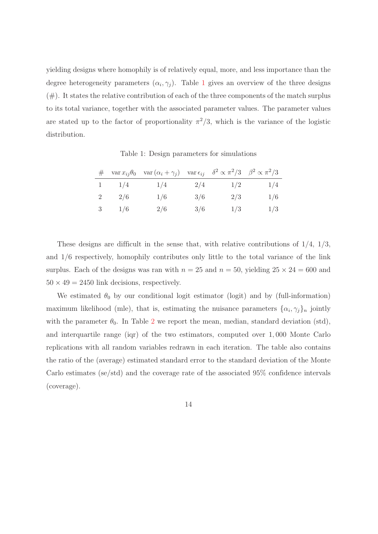yielding designs where homophily is of relatively equal, more, and less importance than the degree heterogeneity parameters  $(\alpha_i, \gamma_j)$ . Table 1 gives an overview of the three designs  $(\#)$ . It states the relative contribution of each of the three components of the match surplus to its total variance, together with the associated parameter values. The parameter values are stated up to the factor of proportionality  $\pi^2/3$ , which is the variance of the logistic distribution.

Table 1: Design parameters for simulations

|   |     | # var $x_{ij}\theta_0$ var $(\alpha_i + \gamma_j)$ var $\epsilon_{ij}$ $\delta^2 \propto \pi^2/3$ $\beta^2 \propto \pi^2/3$ |     |     |     |
|---|-----|-----------------------------------------------------------------------------------------------------------------------------|-----|-----|-----|
|   | 1/4 | 1/4                                                                                                                         | 2/4 | 1/2 | 1/4 |
| 2 | 2/6 | 1/6                                                                                                                         | 3/6 | 2/3 | 1/6 |
| 3 | 1/6 | 2/6                                                                                                                         | 3/6 | 1/3 | 1/3 |

These designs are difficult in the sense that, with relative contributions of  $1/4$ ,  $1/3$ , and 1/6 respectively, homophily contributes only little to the total variance of the link surplus. Each of the designs was ran with  $n = 25$  and  $n = 50$ , yielding  $25 \times 24 = 600$  and  $50 \times 49 = 2450$  link decisions, respectively.

We estimated  $\theta_0$  by our conditional logit estimator (logit) and by (full-information) maximum likelihood (mle), that is, estimating the nuisance parameters  $\{\alpha_i, \gamma_j\}_n$  jointly with the parameter  $\theta_0$ . In Table 2 we report the mean, median, standard deviation (std), and interquartile range (iqr) of the two estimators, computed over 1, 000 Monte Carlo replications with all random variables redrawn in each iteration. The table also contains the ratio of the (average) estimated standard error to the standard deviation of the Monte Carlo estimates (se/std) and the coverage rate of the associated 95% confidence intervals (coverage).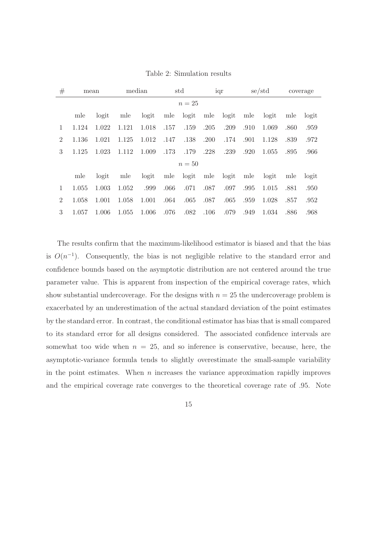| #              |        | mean  |       | median |      | std       |      | iqr       |      | se/std |      | coverage |
|----------------|--------|-------|-------|--------|------|-----------|------|-----------|------|--------|------|----------|
|                | $n=25$ |       |       |        |      |           |      |           |      |        |      |          |
|                | mle    | logit | mle   | logit  |      | mle logit |      | mle logit | mle  | logit  | mle  | logit    |
| 1              | 1.124  | 1.022 | 1.121 | 1.018  | .157 | .159      | .205 | .209      | .910 | 1.069  | .860 | .959     |
| $\overline{2}$ | 1.136  | 1.021 | 1.125 | 1.012  | .147 | .138      | .200 | .174      | .901 | 1.128  | .839 | .972     |
| 3              | 1.125  | 1.023 | 1.112 | 1.009  | .173 | .179      | .228 | .239      | .920 | 1.055  | .895 | .966     |
|                | $n=50$ |       |       |        |      |           |      |           |      |        |      |          |
|                | mle    | logit | mle   | logit  | mle  | logit     | mle  | logit     | mle  | logit  | mle  | logit    |
| 1              | 1.055  | 1.003 | 1.052 | .999   | .066 | .071      | .087 | .097      | .995 | 1.015  | .881 | .950     |
| $\overline{2}$ | 1.058  | 1.001 | 1.058 | 1.001  | .064 | .065      | .087 | .065      | .959 | 1.028  | .857 | .952     |
| 3              | 1.057  | 1.006 | 1.055 | 1.006  | .076 | .082      | .106 | .079      | .949 | 1.034  | .886 | .968     |

Table 2: Simulation results

The results confirm that the maximum-likelihood estimator is biased and that the bias is  $O(n^{-1})$ . Consequently, the bias is not negligible relative to the standard error and confidence bounds based on the asymptotic distribution are not centered around the true parameter value. This is apparent from inspection of the empirical coverage rates, which show substantial undercoverage. For the designs with  $n = 25$  the undercoverage problem is exacerbated by an underestimation of the actual standard deviation of the point estimates by the standard error. In contrast, the conditional estimator has bias that is small compared to its standard error for all designs considered. The associated confidence intervals are somewhat too wide when  $n = 25$ , and so inference is conservative, because, here, the asymptotic-variance formula tends to slightly overestimate the small-sample variability in the point estimates. When  $n$  increases the variance approximation rapidly improves and the empirical coverage rate converges to the theoretical coverage rate of .95. Note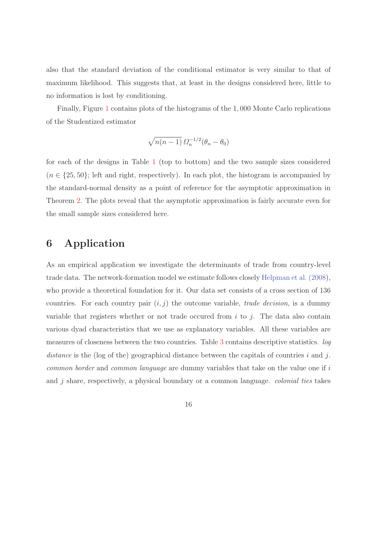also that the standard deviation of the conditional estimator is very similar to that of maximum likelihood. This suggests that, at least in the designs considered here, little to no information is lost by conditioning.

Finally, Figure 1 contains plots of the histograms of the 1, 000 Monte Carlo replications of the Studentized estimator

$$
\sqrt{n(n-1)}\,\varOmega_n^{-1/2}(\theta_n-\theta_0)
$$

for each of the designs in Table 1 (top to bottom) and the two sample sizes considered  $(n \in \{25, 50\})$ ; left and right, respectively). In each plot, the histogram is accompanied by the standard-normal density as a point of reference for the asymptotic approximation in Theorem 2. The plots reveal that the asymptotic approximation is fairly accurate even for the small sample sizes considered here.

#### 6 Application

As an empirical application we investigate the determinants of trade from country-level trade data. The network-formation model we estimate follows closely Helpman et al. (2008), who provide a theoretical foundation for it. Our data set consists of a cross section of 136 countries. For each country pair  $(i, j)$  the outcome variable, *trade decision*, is a dummy variable that registers whether or not trade occured from  $i$  to  $j$ . The data also contain various dyad characteristics that we use as explanatory variables. All these variables are measures of closeness between the two countries. Table 3 contains descriptive statistics. log distance is the (log of the) geographical distance between the capitals of countries i and j. common border and common language are dummy variables that take on the value one if i and  $j$  share, respectively, a physical boundary or a common language. *colonial ties* takes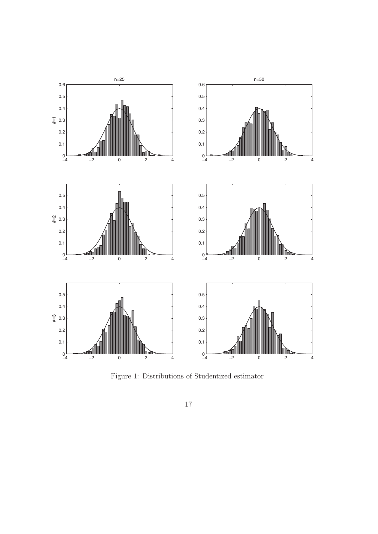

Figure 1: Distributions of Studentized estimator

 $17\,$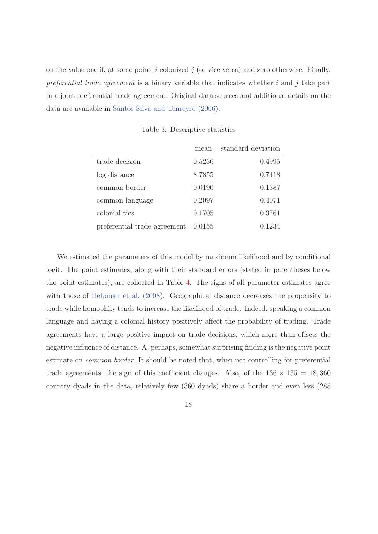on the value one if, at some point,  $i$  colonized  $j$  (or vice versa) and zero otherwise. Finally, preferential trade agreement is a binary variable that indicates whether i and j take part in a joint preferential trade agreement. Original data sources and additional details on the data are available in Santos Silva and Tenreyro (2006).

|                              | mean   | standard deviation |
|------------------------------|--------|--------------------|
| trade decision               | 0.5236 | 0.4995             |
| log distance                 | 8.7855 | 0.7418             |
| common border                | 0.0196 | 0.1387             |
| common language              | 0.2097 | 0.4071             |
| colonial ties                | 0.1705 | 0.3761             |
| preferential trade agreement | 0.0155 | 0.1234             |

Table 3: Descriptive statistics

We estimated the parameters of this model by maximum likelihood and by conditional logit. The point estimates, along with their standard errors (stated in parentheses below the point estimates), are collected in Table 4. The signs of all parameter estimates agree with those of Helpman et al. (2008). Geographical distance decreases the propensity to trade while homophily tends to increase the likelihood of trade. Indeed, speaking a common language and having a colonial history positively affect the probability of trading. Trade agreements have a large positive impact on trade decisions, which more than offsets the negative influence of distance. A, perhaps, somewhat surprising finding is the negative point estimate on common border. It should be noted that, when not controlling for preferential trade agreements, the sign of this coefficient changes. Also, of the  $136 \times 135 = 18,360$ country dyads in the data, relatively few (360 dyads) share a border and even less (285

18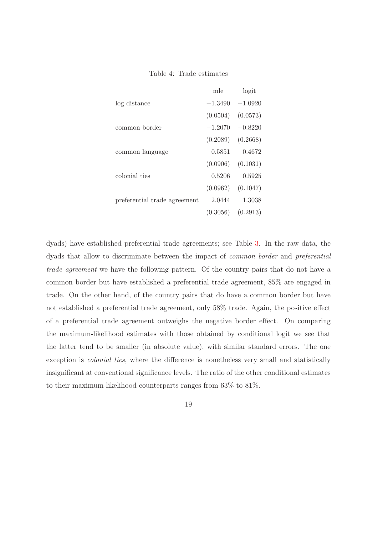|                              | mle       | logit     |
|------------------------------|-----------|-----------|
| log distance                 | $-1.3490$ | $-1.0920$ |
|                              | (0.0504)  | (0.0573)  |
| common border                | $-1.2070$ | $-0.8220$ |
|                              | (0.2089)  | (0.2668)  |
| common language              | 0.5851    | 0.4672    |
|                              | (0.0906)  | (0.1031)  |
| colonial ties                | 0.5206    | 0.5925    |
|                              | (0.0962)  | (0.1047)  |
| preferential trade agreement | 2.0444    | 1.3038    |
|                              | (0.3056)  | (0.2913)  |

Table 4: Trade estimates

dyads) have established preferential trade agreements; see Table 3. In the raw data, the dyads that allow to discriminate between the impact of common border and preferential trade agreement we have the following pattern. Of the country pairs that do not have a common border but have established a preferential trade agreement, 85% are engaged in trade. On the other hand, of the country pairs that do have a common border but have not established a preferential trade agreement, only 58% trade. Again, the positive effect of a preferential trade agreement outweighs the negative border effect. On comparing the maximum-likelihood estimates with those obtained by conditional logit we see that the latter tend to be smaller (in absolute value), with similar standard errors. The one exception is colonial ties, where the difference is nonetheless very small and statistically insignificant at conventional significance levels. The ratio of the other conditional estimates to their maximum-likelihood counterparts ranges from 63% to 81%.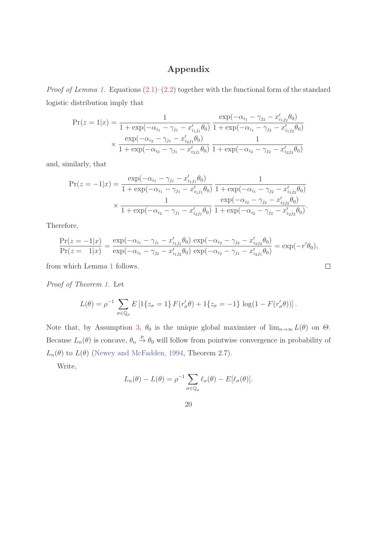#### Appendix

*Proof of Lemma 1.* Equations  $(2.1)$ – $(2.2)$  together with the functional form of the standard logistic distribution imply that

$$
\Pr(z=1|x) = \frac{1}{1 + \exp(-\alpha_{i_1} - \gamma_{j_1} - x'_{i_1j_1}\theta_0)} \frac{\exp(-\alpha_{i_1} - \gamma_{j_2} - x'_{i_1j_2}\theta_0)}{1 + \exp(-\alpha_{i_1} - \gamma_{j_2} - x'_{i_1j_2}\theta_0)}
$$

$$
\times \frac{\exp(-\alpha_{i_2} - \gamma_{j_1} - x'_{i_2j_1}\theta_0)}{1 + \exp(-\alpha_{i_2} - \gamma_{j_1} - x'_{i_2j_1}\theta_0)} \frac{1}{1 + \exp(-\alpha_{i_2} - \gamma_{j_2} - x'_{i_2j_2}\theta_0)}
$$

and, similarly, that

$$
\Pr(z = -1|x) = \frac{\exp(-\alpha_{i_1} - \gamma_{j_1} - x'_{i_1j_1}\theta_0)}{1 + \exp(-\alpha_{i_1} - \gamma_{j_1} - x'_{i_1j_1}\theta_0)} \frac{1}{1 + \exp(-\alpha_{i_1} - \gamma_{j_2} - x'_{i_1j_2}\theta_0)}
$$
  
 
$$
\times \frac{1}{1 + \exp(-\alpha_{i_2} - \gamma_{j_1} - x'_{i_2j_1}\theta_0)} \frac{\exp(-\alpha_{i_2} - \gamma_{j_2} - x'_{i_2j_2}\theta_0)}{1 + \exp(-\alpha_{i_2} - \gamma_{j_2} - x'_{i_2j_2}\theta_0)}.
$$

Therefore,

$$
\frac{\Pr(z = -1|x)}{\Pr(z = 1|x)} = \frac{\exp(-\alpha_{i1} - \gamma_{j1} - x'_{i1j1}\theta_0) \exp(-\alpha_{i2} - \gamma_{j2} - x'_{i2j2}\theta_0)}{\exp(-\alpha_{i1} - \gamma_{j2} - x'_{i1j2}\theta_0) \exp(-\alpha_{i2} - \gamma_{j1} - x'_{i2j1}\theta_0)} = \exp(-r'\theta_0),
$$

 $\Box$ 

from which Lemma 1 follows.

Proof of Theorem 1. Let

$$
L(\theta) = \rho^{-1} \sum_{\sigma \in \mathbb{Q}_{\rho}} E\left[1\{z_{\sigma} = 1\} F(r'_{\sigma}\theta) + 1\{z_{\sigma} = -1\} \log(1 - F(r'_{\sigma}\theta))\right].
$$

Note that, by Assumption 3,  $\theta_0$  is the unique global maximizer of  $\lim_{n\to\infty} L(\theta)$  on  $\Theta$ . Because  $L_n(\theta)$  is concave,  $\theta_n \stackrel{p}{\to} \theta_0$  will follow from pointwise convergence in probability of  $L_n(\theta)$  to  $L(\theta)$  (Newey and McFadden, 1994, Theorem 2.7).

Write,

$$
L_n(\theta) - L(\theta) = \rho^{-1} \sum_{\sigma \in \mathbb{Q}_\rho} \ell_\sigma(\theta) - E[\ell_\sigma(\theta)].
$$

20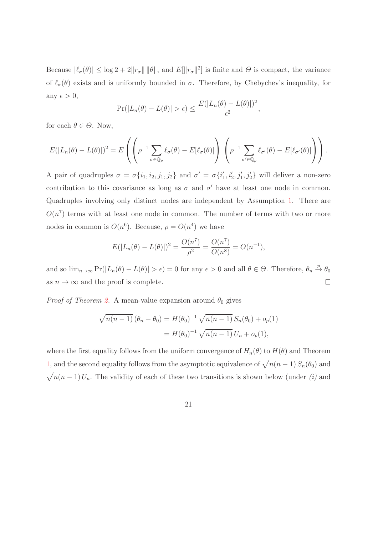Because  $|\ell_{\sigma}(\theta)| \leq \log 2 + 2\|\mathbf{r}_{\sigma}\| \|\theta\|$ , and  $E[\|\mathbf{r}_{\sigma}\|^2]$  is finite and  $\Theta$  is compact, the variance of  $\ell_{\sigma}(\theta)$  exists and is uniformly bounded in  $\sigma$ . Therefore, by Chebychev's inequality, for any  $\epsilon > 0$ ,

$$
Pr(|L_n(\theta) - L(\theta)| > \epsilon) \le \frac{E(|L_n(\theta) - L(\theta)|)^2}{\epsilon^2},
$$

for each  $\theta \in \Theta$ . Now,

$$
E(|L_n(\theta) - L(\theta)|)^2 = E\left(\left(\rho^{-1} \sum_{\sigma \in \mathbb{Q}_\rho} \ell_\sigma(\theta) - E[\ell_\sigma(\theta)]\right) \left(\rho^{-1} \sum_{\sigma' \in \mathbb{Q}_\rho} \ell_{\sigma'}(\theta) - E[\ell_{\sigma'}(\theta)]\right)\right).
$$

A pair of quadruples  $\sigma = \sigma\{i_1, i_2, j_1, j_2\}$  and  $\sigma' = \sigma\{i'_1, i'_2, j'_1, j'_2\}$  will deliver a non-zero contribution to this covariance as long as  $\sigma$  and  $\sigma'$  have at least one node in common. Quadruples involving only distinct nodes are independent by Assumption 1. There are  $O(n^7)$  terms with at least one node in common. The number of terms with two or more nodes in common is  $O(n^6)$ . Because,  $\rho = O(n^4)$  we have

$$
E(|L_n(\theta) - L(\theta)|)^2 = \frac{O(n^7)}{\rho^2} = \frac{O(n^7)}{O(n^8)} = O(n^{-1}),
$$

and so  $\lim_{n\to\infty} \Pr(|L_n(\theta) - L(\theta)| > \epsilon) = 0$  for any  $\epsilon > 0$  and all  $\theta \in \Theta$ . Therefore,  $\theta_n \stackrel{p}{\to} \theta_0$ as  $n \to \infty$  and the proof is complete.  $\Box$ 

*Proof of Theorem 2.* A mean-value expansion around  $\theta_0$  gives

$$
\sqrt{n(n-1)} (\theta_n - \theta_0) = H(\theta_0)^{-1} \sqrt{n(n-1)} S_n(\theta_0) + o_p(1)
$$
  
=  $H(\theta_0)^{-1} \sqrt{n(n-1)} U_n + o_p(1),$ 

where the first equality follows from the uniform convergence of  $H_n(\theta)$  to  $H(\theta)$  and Theorem 1, and the second equality follows from the asymptotic equivalence of  $\sqrt{n(n-1)} S_n(\theta_0)$  and  $\sqrt{n(n-1)} U_n$ . The validity of each of these two transitions is shown below (under *(i)* and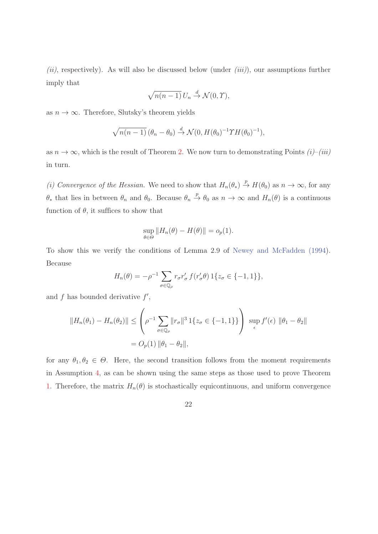$(ii)$ , respectively). As will also be discussed below (under  $(iii)$ ), our assumptions further imply that

$$
\sqrt{n(n-1)} U_n \stackrel{d}{\to} \mathcal{N}(0, \Upsilon),
$$

as  $n \to \infty$ . Therefore, Slutsky's theorem yields

$$
\sqrt{n(n-1)}\left(\theta_n-\theta_0\right) \stackrel{d}{\rightarrow} \mathcal{N}(0,H(\theta_0)^{-1}\gamma H(\theta_0)^{-1}),
$$

as  $n \to \infty$ , which is the result of Theorem 2. We now turn to demonstrating Points  $(i)$ – $(iii)$ in turn.

(i) Convergence of the Hessian. We need to show that  $H_n(\theta_*) \stackrel{p}{\to} H(\theta_0)$  as  $n \to \infty$ , for any  $\theta_*$  that lies in between  $\theta_n$  and  $\theta_0$ . Because  $\theta_n \stackrel{p}{\rightarrow} \theta_0$  as  $n \to \infty$  and  $H_n(\theta)$  is a continuous function of  $\theta$ , it suffices to show that

$$
\sup_{\theta \in \Theta} ||H_n(\theta) - H(\theta)|| = o_p(1).
$$

To show this we verify the conditions of Lemma 2.9 of Newey and McFadden (1994). Because

$$
H_n(\theta) = -\rho^{-1} \sum_{\sigma \in \mathbb{Q}_\rho} r_\sigma r'_\sigma f(r'_\sigma \theta) \, 1\{z_\sigma \in \{-1, 1\}\},
$$

and  $f$  has bounded derivative  $f'$ ,

$$
||H_n(\theta_1) - H_n(\theta_2)|| \le \left(\rho^{-1} \sum_{\sigma \in \mathbb{Q}_\rho} ||r_\sigma||^3 1\{z_\sigma \in \{-1, 1\}\}\right) \sup_{\epsilon} f'(\epsilon) ||\theta_1 - \theta_2||
$$
  
=  $O_p(1) ||\theta_1 - \theta_2||$ ,

for any  $\theta_1, \theta_2 \in \Theta$ . Here, the second transition follows from the moment requirements in Assumption 4, as can be shown using the same steps as those used to prove Theorem 1. Therefore, the matrix  $H_n(\theta)$  is stochastically equicontinuous, and uniform convergence

22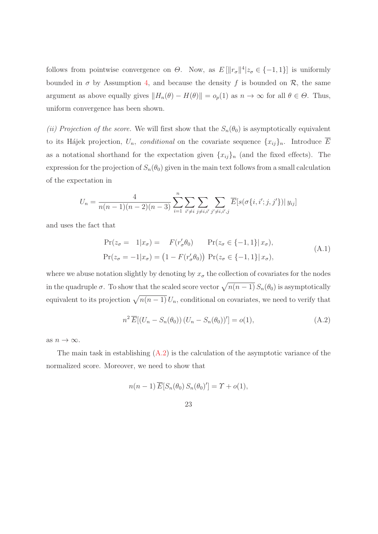follows from pointwise convergence on  $\Theta$ . Now, as  $E[\Vert r_{\sigma} \Vert^{4} | z_{\sigma} \in \{-1,1\}]$  is uniformly bounded in  $\sigma$  by Assumption 4, and because the density f is bounded on  $\mathcal{R}$ , the same argument as above equally gives  $||H_n(\theta) - H(\theta)|| = o_p(1)$  as  $n \to \infty$  for all  $\theta \in \Theta$ . Thus, uniform convergence has been shown.

(ii) Projection of the score. We will first show that the  $S_n(\theta_0)$  is asymptotically equivalent to its Hájek projection,  $U_n$ , conditional on the covariate sequence  $\{x_{ij}\}_n$ . Introduce  $\overline{E}$ as a notational shorthand for the expectation given  $\{x_{ij}\}_n$  (and the fixed effects). The expression for the projection of  $S_n(\theta_0)$  given in the main text follows from a small calculation of the expectation in

$$
U_n = \frac{4}{n(n-1)(n-2)(n-3)} \sum_{i=1}^n \sum_{i' \neq i} \sum_{j \neq i, i'} \sum_{j' \neq i, i', j} \overline{E}[s(\sigma\{i, i'; j, j'\}) | y_{ij}]
$$

and uses the fact that

$$
\Pr(z_{\sigma} = 1|x_{\sigma}) = F(r'_{\sigma}\theta_0) \Pr(z_{\sigma} \in \{-1, 1\}|x_{\sigma}),
$$
  
\n
$$
\Pr(z_{\sigma} = -1|x_{\sigma}) = (1 - F(r'_{\sigma}\theta_0)) \Pr(z_{\sigma} \in \{-1, 1\}|x_{\sigma}),
$$
\n(A.1)

where we abuse notation slightly by denoting by  $x_{\sigma}$  the collection of covariates for the nodes in the quadruple  $\sigma$ . To show that the scaled score vector  $\sqrt{n(n - 1)} S_n(\theta_0)$  is asymptotically equivalent to its projection  $\sqrt{n(n-1)} U_n$ , conditional on covariates, we need to verify that

$$
n^2 \overline{E}[(U_n - S_n(\theta_0)) (U_n - S_n(\theta_0))'] = o(1),
$$
\n(A.2)

as  $n \to \infty$ .

The main task in establishing  $(A.2)$  is the calculation of the asymptotic variance of the normalized score. Moreover, we need to show that

$$
n(n-1)\overline{E}[S_n(\theta_0) S_n(\theta_0)'] = \Upsilon + o(1),
$$

23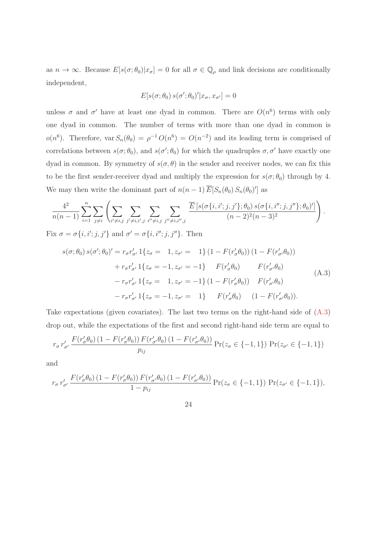as  $n \to \infty$ . Because  $E[s(\sigma;\theta_0)|x_{\sigma}] = 0$  for all  $\sigma \in \mathbb{Q}_\rho$  and link decisions are conditionally independent,

$$
E[s(\sigma;\theta_0) \, s(\sigma';\theta_0)' | x_{\sigma}, x_{\sigma'}] = 0
$$

unless  $\sigma$  and  $\sigma'$  have at least one dyad in common. There are  $O(n^6)$  terms with only one dyad in common. The number of terms with more than one dyad in common is  $o(n^6)$ . Therefore, var  $S_n(\theta_0) = \rho^{-1} O(n^6) = O(n^{-2})$  and its leading term is comprised of correlations between  $s(\sigma;\theta_0)$ , and  $s(\sigma';\theta_0)$  for which the quadruples  $\sigma, \sigma'$  have exactly one dyad in common. By symmetry of  $s(\sigma, \theta)$  in the sender and receiver nodes, we can fix this to be the first sender-receiver dyad and multiply the expression for  $s(\sigma; \theta_0)$  through by 4. We may then write the dominant part of  $n(n-1)\overline{E}[S_n(\theta_0) S_n(\theta_0)']$  as

$$
\frac{4^2}{n(n-1)}\sum_{i=1}^n\sum_{j\neq i}\left(\sum_{i'\neq i,j}\sum_{j'\neq i,i',j}\sum_{i''\neq i,j'}\sum_{j''\neq i,i'',j}\frac{\overline{E}\left[s(\sigma\{i,i';j,j'\};\theta_0)\,s(\sigma\{i,i'';j,j''\};\theta_0)'\right]}{(n-2)^2(n-3)^2}\right).
$$

Fix  $\sigma = \sigma\{i, i'; j, j'\}$  and  $\sigma' = \sigma\{i, i''; j, j''\}$ . Then

$$
s(\sigma; \theta_0) s(\sigma'; \theta_0)' = r_{\sigma} r'_{\sigma'} 1\{z_{\sigma} = 1, z_{\sigma'} = 1\} (1 - F(r'_{\sigma} \theta_0)) (1 - F(r'_{\sigma'} \theta_0))
$$
  
+  $r_{\sigma} r'_{\sigma'} 1\{z_{\sigma} = -1, z_{\sigma'} = -1\} F(r'_{\sigma} \theta_0) F(r'_{\sigma'} \theta_0)$   
-  $r_{\sigma} r'_{\sigma'} 1\{z_{\sigma} = 1, z_{\sigma'} = -1\} (1 - F(r'_{\sigma} \theta_0)) F(r'_{\sigma'} \theta_0)$   
-  $r_{\sigma} r'_{\sigma'} 1\{z_{\sigma} = -1, z_{\sigma'} = 1\} F(r'_{\sigma} \theta_0) (1 - F(r'_{\sigma'} \theta_0)).$  (A.3)

Take expectations (given covariates). The last two terms on the right-hand side of (A.3) drop out, while the expectations of the first and second right-hand side term are equal to

$$
r_{\sigma} r'_{\sigma'} \frac{F(r'_{\sigma}\theta_0) (1 - F(r'_{\sigma}\theta_0)) F(r'_{\sigma'}\theta_0) (1 - F(r'_{\sigma'}\theta_0))}{p_{ij}} \Pr(z_{\sigma} \in \{-1, 1\}) \Pr(z_{\sigma'} \in \{-1, 1\})
$$

and

$$
r_{\sigma} r'_{\sigma'} \frac{F(r'_{\sigma}\theta_0) (1 - F(r'_{\sigma}\theta_0)) F(r'_{\sigma'}\theta_0) (1 - F(r'_{\sigma'}\theta_0))}{1 - p_{ij}} \Pr(z_{\sigma} \in \{-1, 1\}) \Pr(z_{\sigma'} \in \{-1, 1\}),
$$

24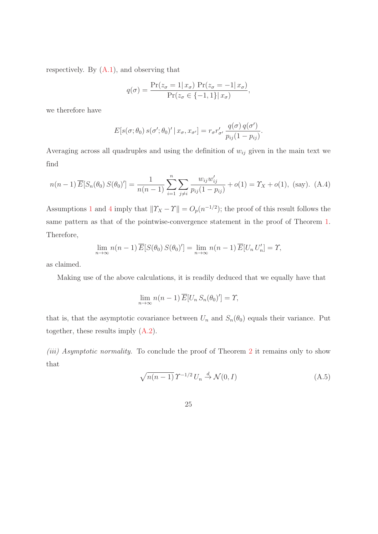respectively. By  $(A.1)$ , and observing that

$$
q(\sigma) = \frac{\Pr(z_{\sigma} = 1 | x_{\sigma}) \Pr(z_{\sigma} = -1 | x_{\sigma})}{\Pr(z_{\sigma} \in \{-1, 1\} | x_{\sigma})},
$$

we therefore have

$$
E[s(\sigma;\theta_0) s(\sigma';\theta_0)' | x_{\sigma}, x_{\sigma'}] = r_{\sigma} r'_{\sigma'} \frac{q(\sigma) q(\sigma')}{p_{ij}(1 - p_{ij})}.
$$

Averaging across all quadruples and using the definition of  $w_{ij}$  given in the main text we find

$$
n(n-1)\overline{E}[S_n(\theta_0) S(\theta_0)'] = \frac{1}{n(n-1)} \sum_{i=1}^n \sum_{j \neq i} \frac{w_{ij} w'_{ij}}{p_{ij}(1 - p_{ij})} + o(1) = \Upsilon_X + o(1), \text{ (say). (A.4)}
$$

Assumptions 1 and 4 imply that  $\|\Upsilon_X - \Upsilon\| = O_p(n^{-1/2})$ ; the proof of this result follows the same pattern as that of the pointwise-convergence statement in the proof of Theorem 1. Therefore,

$$
\lim_{n \to \infty} n(n-1) \overline{E}[S(\theta_0) S(\theta_0)'] = \lim_{n \to \infty} n(n-1) \overline{E}[U_n U'_n] = \Upsilon,
$$

as claimed.

Making use of the above calculations, it is readily deduced that we equally have that

$$
\lim_{n \to \infty} n(n-1) \overline{E}[U_n S_n(\theta_0)'] = \Upsilon,
$$

that is, that the asymptotic covariance between  $U_n$  and  $S_n(\theta_0)$  equals their variance. Put together, these results imply (A.2).

(iii) Asymptotic normality. To conclude the proof of Theorem 2 it remains only to show that

$$
\sqrt{n(n-1)}\,T^{-1/2}\,U_n \stackrel{d}{\to} \mathcal{N}(0,I) \tag{A.5}
$$

25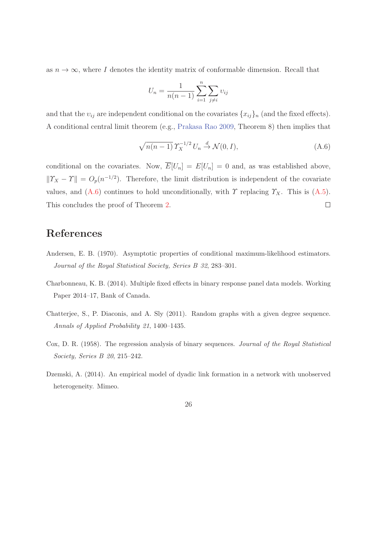as  $n \to \infty$ , where I denotes the identity matrix of conformable dimension. Recall that

$$
U_n = \frac{1}{n(n-1)} \sum_{i=1}^{n} \sum_{j \neq i} v_{ij}
$$

and that the  $v_{ij}$  are independent conditional on the covariates  $\{x_{ij}\}_n$  (and the fixed effects). A conditional central limit theorem (e.g., Prakasa Rao 2009, Theorem 8) then implies that

$$
\sqrt{n(n-1)} \, \Upsilon_X^{-1/2} \, U_n \stackrel{d}{\rightarrow} \mathcal{N}(0, I), \tag{A.6}
$$

conditional on the covariates. Now,  $\overline{E}[U_n] = E[U_n] = 0$  and, as was established above,  $||T_X - T|| = O_p(n^{-1/2})$ . Therefore, the limit distribution is independent of the covariate values, and (A.6) continues to hold unconditionally, with  $\gamma$  replacing  $\gamma_X$ . This is (A.5). This concludes the proof of Theorem 2.  $\Box$ 

### References

- Andersen, E. B. (1970). Asymptotic properties of conditional maximum-likelihood estimators. Journal of the Royal Statistical Society, Series B 32, 283–301.
- Charbonneau, K. B. (2014). Multiple fixed effects in binary response panel data models. Working Paper 2014–17, Bank of Canada.
- Chatterjee, S., P. Diaconis, and A. Sly (2011). Random graphs with a given degree sequence. Annals of Applied Probability 21, 1400–1435.
- Cox, D. R. (1958). The regression analysis of binary sequences. Journal of the Royal Statistical Society, Series B 20, 215–242.
- Dzemski, A. (2014). An empirical model of dyadic link formation in a network with unobserved heterogeneity. Mimeo.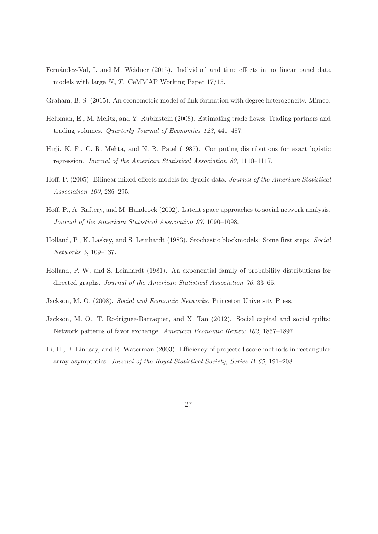- Fernández-Val, I. and M. Weidner (2015). Individual and time effects in nonlinear panel data models with large N, T. CeMMAP Working Paper 17/15.
- Graham, B. S. (2015). An econometric model of link formation with degree heterogeneity. Mimeo.
- Helpman, E., M. Melitz, and Y. Rubinstein (2008). Estimating trade flows: Trading partners and trading volumes. Quarterly Journal of Economics 123, 441–487.
- Hirji, K. F., C. R. Mehta, and N. R. Patel (1987). Computing distributions for exact logistic regression. Journal of the American Statistical Association 82, 1110–1117.
- Hoff, P. (2005). Bilinear mixed-effects models for dyadic data. Journal of the American Statistical Association 100, 286–295.
- Hoff, P., A. Raftery, and M. Handcock (2002). Latent space approaches to social network analysis. Journal of the American Statistical Association 97, 1090–1098.
- Holland, P., K. Laskey, and S. Leinhardt (1983). Stochastic blockmodels: Some first steps. Social Networks 5, 109–137.
- Holland, P. W. and S. Leinhardt (1981). An exponential family of probability distributions for directed graphs. Journal of the American Statistical Association 76, 33–65.
- Jackson, M. O. (2008). Social and Economic Networks. Princeton University Press.
- Jackson, M. O., T. Rodriguez-Barraquer, and X. Tan (2012). Social capital and social quilts: Network patterns of favor exchange. American Economic Review 102, 1857–1897.
- Li, H., B. Lindsay, and R. Waterman (2003). Efficiency of projected score methods in rectangular array asymptotics. Journal of the Royal Statistical Society, Series B 65, 191–208.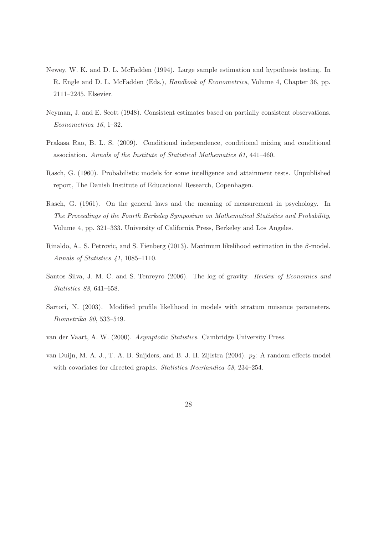- Newey, W. K. and D. L. McFadden (1994). Large sample estimation and hypothesis testing. In R. Engle and D. L. McFadden (Eds.), Handbook of Econometrics, Volume 4, Chapter 36, pp. 2111–2245. Elsevier.
- Neyman, J. and E. Scott (1948). Consistent estimates based on partially consistent observations. Econometrica 16, 1–32.
- Prakasa Rao, B. L. S. (2009). Conditional independence, conditional mixing and conditional association. Annals of the Institute of Statistical Mathematics 61, 441–460.
- Rasch, G. (1960). Probabilistic models for some intelligence and attainment tests. Unpublished report, The Danish Institute of Educational Research, Copenhagen.
- Rasch, G. (1961). On the general laws and the meaning of measurement in psychology. In The Proceedings of the Fourth Berkeley Symposium on Mathematical Statistics and Probability, Volume 4, pp. 321–333. University of California Press, Berkeley and Los Angeles.
- Rinaldo, A., S. Petrovic, and S. Fienberg (2013). Maximum likelihood estimation in the β-model. Annals of Statistics 41, 1085–1110.
- Santos Silva, J. M. C. and S. Tenreyro (2006). The log of gravity. Review of Economics and Statistics 88, 641–658.
- Sartori, N. (2003). Modified profile likelihood in models with stratum nuisance parameters. Biometrika 90, 533–549.
- van der Vaart, A. W. (2000). Asymptotic Statistics. Cambridge University Press.
- van Duijn, M. A. J., T. A. B. Snijders, and B. J. H. Zijlstra  $(2004)$ .  $p_2$ : A random effects model with covariates for directed graphs. *Statistica Neerlandica 58*, 234–254.